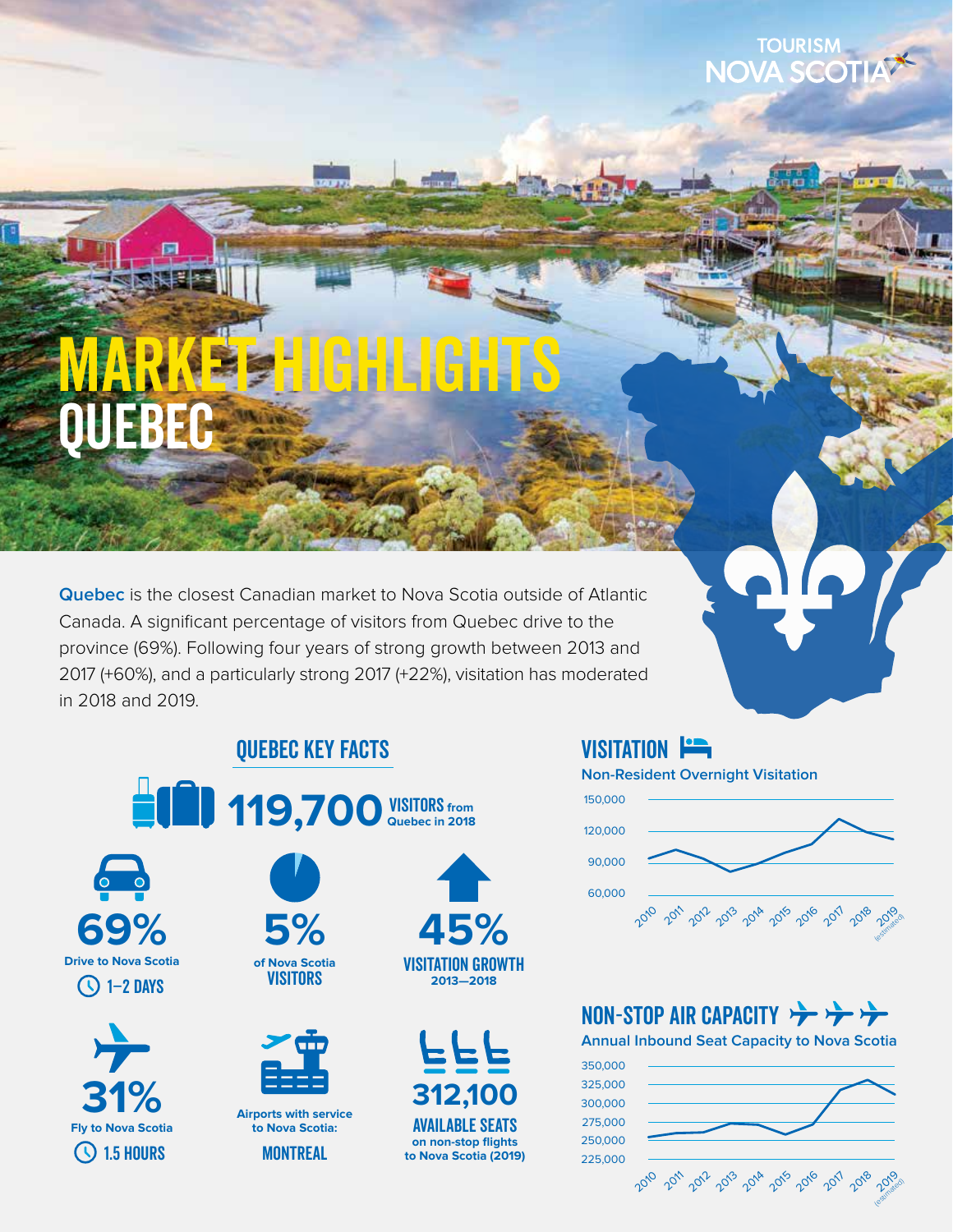# quebec NGHL GHTS

**Quebec** is the closest Canadian market to Nova Scotia outside of Atlantic Canada. A significant percentage of visitors from Quebec drive to the province (69%). Following four years of strong growth between 2013 and 2017 (+60%), and a particularly strong 2017 (+22%), visitation has moderated in 2018 and 2019.

# Quebec Key Facts



**of Nova Scotia VISITORS** 

**5%**

**Airports with service to Nova Scotia: MONTREAL** 









## VISITATION **Fig.**

**Non-Resident Overnight Visitation**



**TOURISM NOVA SCOT** 

# NON-STOP AIR CAPACITY

**Annual Inbound Seat Capacity to Nova Scotia**

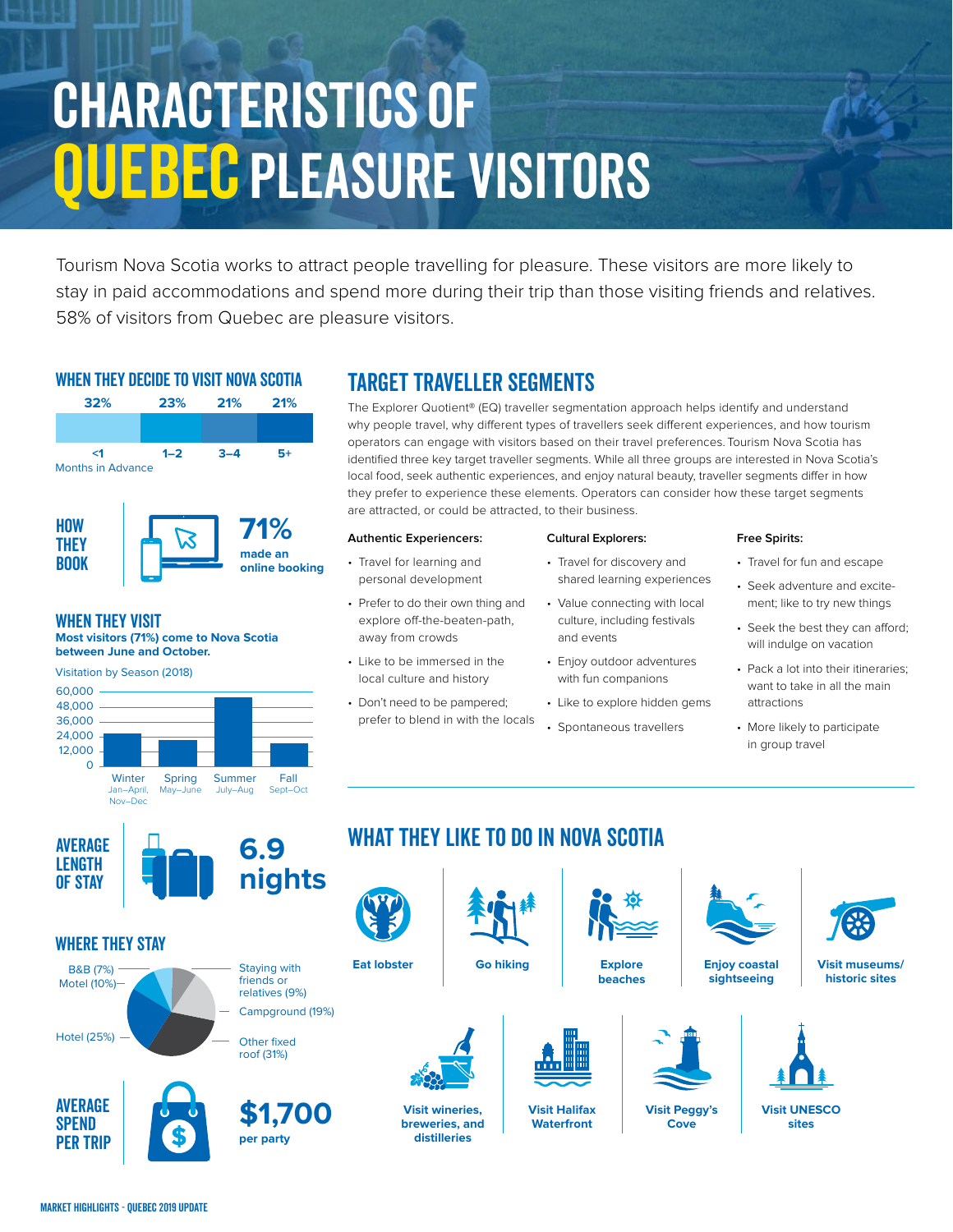# Characteristics of **OUEBEC PLEASURE VISITORS**

Tourism Nova Scotia works to attract people travelling for pleasure. These visitors are more likely to stay in paid accommodations and spend more during their trip than those visiting friends and relatives. 58% of visitors from Quebec are pleasure visitors.

### WHEN THEY DECIDE TO VISIT NOVA SCOTIA



### When they Visit

**Most visitors (71%) come to Nova Scotia between June and October.**



# TARGET TRAVELLER SEGMENTS

The Explorer Quotient® (EQ) traveller segmentation approach helps identify and understand why people travel, why different types of travellers seek different experiences, and how tourism operators can engage with visitors based on their travel preferences. Tourism Nova Scotia has identified three key target traveller segments. While all three groups are interested in Nova Scotia's local food, seek authentic experiences, and enjoy natural beauty, traveller segments differ in how they prefer to experience these elements. Operators can consider how these target segments are attracted, or could be attracted, to their business.

#### **Authentic Experiencers:**

- Travel for learning and personal development
- Prefer to do their own thing and explore off-the-beaten-path, away from crowds
- Like to be immersed in the local culture and history
- Don't need to be pampered; prefer to blend in with the locals

#### **Cultural Explorers:**

- Travel for discovery and shared learning experiences
- Value connecting with local culture, including festivals and events
- Enjoy outdoor adventures with fun companions
- Like to explore hidden gems
- Spontaneous travellers

#### **Free Spirits:**

- Travel for fun and escape
- Seek adventure and excitement; like to try new things
- Seek the best they can afford; will indulge on vacation
- Pack a lot into their itineraries; want to take in all the main attractions
- More likely to participate in group travel



### Where they Stay



# WHAT THEY LIKE TO DO IN NOVA SCOTIA



**SPEND** Per Trip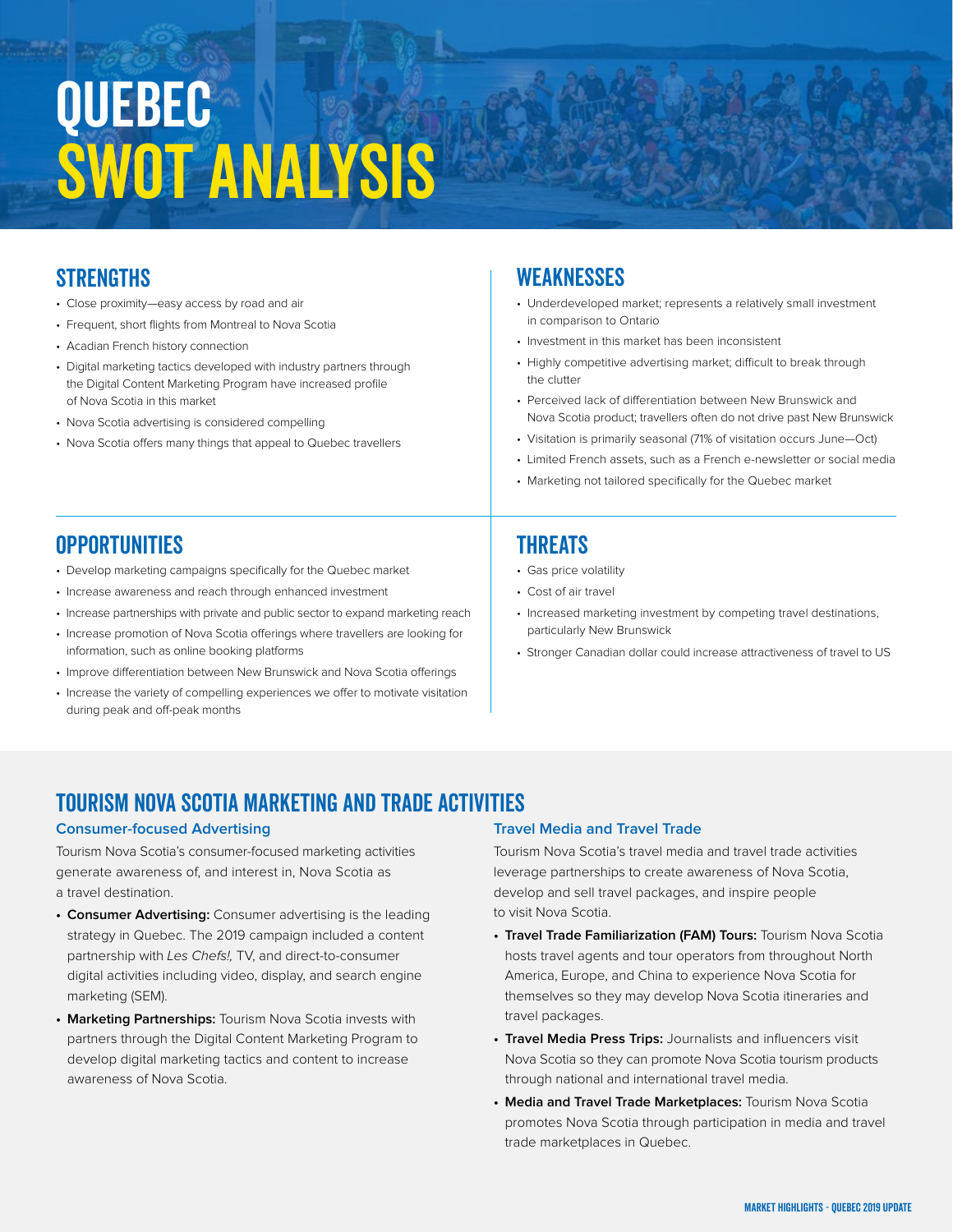# Quebec SWOT Analysis

## **STRENGTHS**

- Close proximity—easy access by road and air
- Frequent, short flights from Montreal to Nova Scotia
- Acadian French history connection
- Digital marketing tactics developed with industry partners through the Digital Content Marketing Program have increased profile of Nova Scotia in this market
- Nova Scotia advertising is considered compelling
- Nova Scotia offers many things that appeal to Quebec travellers

### **WEAKNESSES**

- Underdeveloped market; represents a relatively small investment in comparison to Ontario
- Investment in this market has been inconsistent
- Highly competitive advertising market; difficult to break through the clutter
- Perceived lack of differentiation between New Brunswick and Nova Scotia product; travellers often do not drive past New Brunswick
- Visitation is primarily seasonal (71% of visitation occurs June—Oct)
- Limited French assets, such as a French e-newsletter or social media
- Marketing not tailored specifically for the Quebec market

## **OPPORTUNITIES**

- Develop marketing campaigns specifically for the Quebec market
- Increase awareness and reach through enhanced investment
- Increase partnerships with private and public sector to expand marketing reach
- Increase promotion of Nova Scotia offerings where travellers are looking for information, such as online booking platforms
- Improve differentiation between New Brunswick and Nova Scotia offerings
- Increase the variety of compelling experiences we offer to motivate visitation during peak and off-peak months

## **THREATS**

- Gas price volatility
- Cost of air travel
- Increased marketing investment by competing travel destinations, particularly New Brunswick
- Stronger Canadian dollar could increase attractiveness of travel to US

## TOURISM NOVA SCOTIA MARKETING and Trade ACTIVITIES

#### **Consumer-focused Advertising**

Tourism Nova Scotia's consumer-focused marketing activities generate awareness of, and interest in, Nova Scotia as a travel destination.

- **• Consumer Advertising:** Consumer advertising is the leading strategy in Quebec. The 2019 campaign included a content partnership with Les Chefs!, TV, and direct-to-consumer digital activities including video, display, and search engine marketing (SEM).
- **• Marketing Partnerships:** Tourism Nova Scotia invests with partners through the Digital Content Marketing Program to develop digital marketing tactics and content to increase awareness of Nova Scotia.

### **Travel Media and Travel Trade**

Tourism Nova Scotia's travel media and travel trade activities leverage partnerships to create awareness of Nova Scotia, develop and sell travel packages, and inspire people to visit Nova Scotia.

- **• Travel Trade Familiarization (FAM) Tours:** Tourism Nova Scotia hosts travel agents and tour operators from throughout North America, Europe, and China to experience Nova Scotia for themselves so they may develop Nova Scotia itineraries and travel packages.
- **• Travel Media Press Trips:** Journalists and influencers visit Nova Scotia so they can promote Nova Scotia tourism products through national and international travel media.
- **• Media and Travel Trade Marketplaces:** Tourism Nova Scotia promotes Nova Scotia through participation in media and travel trade marketplaces in Quebec.